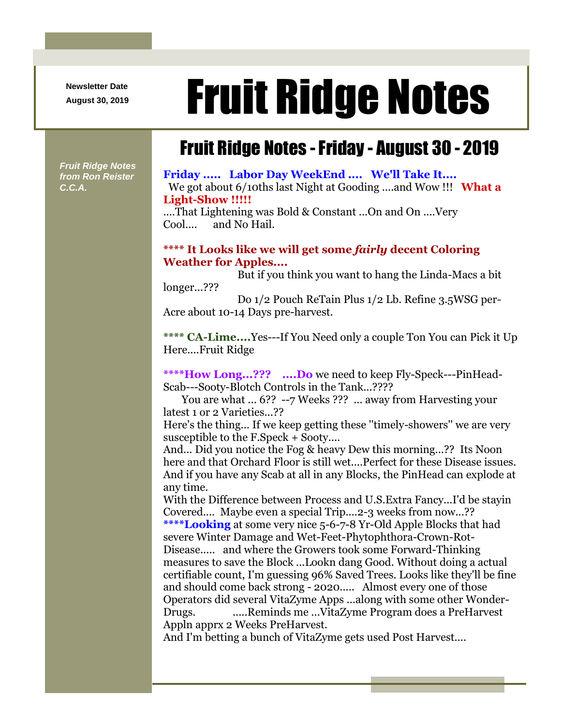**Newsletter Date**

## August 30, 2019 **Fruit Ridge Notes**

## Fruit Ridge Notes -Friday - August 30 - 2019

*Fruit Ridge Notes from Ron Reister C.C.A.*

**Friday ..... Labor Day WeekEnd .... We'll Take It....** We got about 6/10ths last Night at Gooding ....and Wow !!! **What a Light-Show !!!!!**

....That Lightening was Bold & Constant ...On and On ....Very Cool.... and No Hail.

## **\*\*\*\* It Looks like we will get some** *fairly* **decent Coloring Weather for Apples....**

But if you think you want to hang the Linda-Macs a bit longer...???

Do 1/2 Pouch ReTain Plus 1/2 Lb. Refine 3.5WSG per-Acre about 10-14 Days pre-harvest.

**\*\*\*\* CA-Lime....**Yes---If You Need only a couple Ton You can Pick it Up Here....Fruit Ridge

**\*\*\*\*How Long...??? ....Do** we need to keep Fly-Speck---PinHead-Scab---Sooty-Blotch Controls in the Tank...????

You are what ... 6?? --7 Weeks ??? ... away from Harvesting your latest 1 or 2 Varieties...??

Here's the thing... If we keep getting these ''timely-showers'' we are very susceptible to the F.Speck + Sooty....

And... Did you notice the Fog & heavy Dew this morning...?? Its Noon here and that Orchard Floor is still wet....Perfect for these Disease issues. And if you have any Scab at all in any Blocks, the PinHead can explode at any time.

With the Difference between Process and U.S.Extra Fancy...I'd be stayin Covered.... Maybe even a special Trip....2-3 weeks from now...?? **\*\*\*\*Looking** at some very nice 5-6-7-8 Yr-Old Apple Blocks that had severe Winter Damage and Wet-Feet-Phytophthora-Crown-Rot-Disease..... and where the Growers took some Forward-Thinking measures to save the Block ...Lookn dang Good. Without doing a actual certifiable count, I'm guessing 96% Saved Trees. Looks like they'll be fine and should come back strong - 2020..... Almost every one of those Operators did several VitaZyme Apps ...along with some other Wonder-Drugs. .....Reminds me ...VitaZyme Program does a PreHarvest Appln apprx 2 Weeks PreHarvest.

And I'm betting a bunch of VitaZyme gets used Post Harvest....